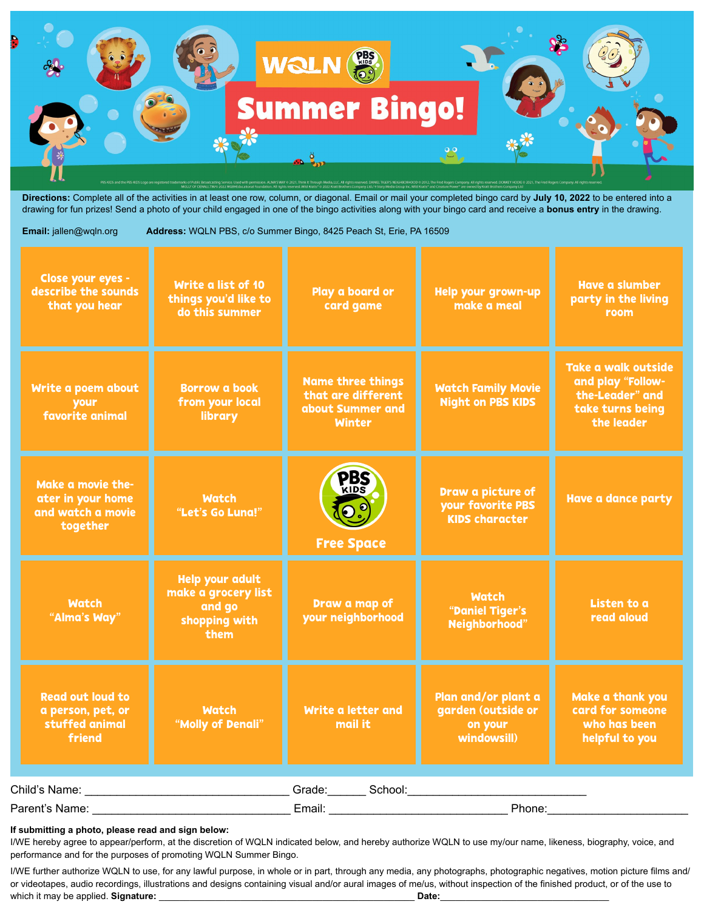

**Directions:** Complete all of the activities in at least one row, column, or diagonal. Email or mail your completed bingo card by **July 10, 2022** to be entered into a drawing for fun prizes! Send a photo of your child engaged in one of the bingo activities along with your bingo card and receive a **bonus entry** in the drawing.

## **Email:** jallen@wqln.org **Address:** WQLN PBS, c/o Summer Bingo, 8425 Peach St, Erie, PA 16509

| Close your eyes -<br>describe the sounds<br>that you hear                | Write a list of 10<br>things you'd like to<br>do this summer                     | Play a board or<br>card game                                                        | Help your grown-up<br>make a meal                                   | <b>Have a slumber</b><br>party in the living<br>room                                          |  |  |
|--------------------------------------------------------------------------|----------------------------------------------------------------------------------|-------------------------------------------------------------------------------------|---------------------------------------------------------------------|-----------------------------------------------------------------------------------------------|--|--|
| Write a poem about<br>your<br>favorite animal                            | <b>Borrow a book</b><br>from your local<br>library                               | <b>Name three things</b><br>that are different<br>about Summer and<br><b>Winter</b> | <b>Watch Family Movie</b><br><b>Night on PBS KIDS</b>               | Take a walk outside<br>and play "Follow-<br>the-Leader" and<br>take turns being<br>the leader |  |  |
| Make a movie the-<br>ater in your home<br>and watch a movie<br>together  | <b>Watch</b><br>"Let's Go Luna!"                                                 | PBS<br>$\odot$ <sup>o</sup><br><b>Free Space</b>                                    | Draw a picture of<br>your favorite PBS<br><b>KIDS character</b>     | <b>Have a dance party</b>                                                                     |  |  |
| <b>Watch</b><br>"Alma's Way"                                             | <b>Help your adult</b><br>make a grocery list<br>and go<br>shopping with<br>them | Draw a map of<br>your neighborhood                                                  | <b>Watch</b><br>"Daniel Tiger's<br>Neighborhood"                    | Listen to a<br>read aloud                                                                     |  |  |
| <b>Read out loud to</b><br>a person, pet, or<br>stuffed animal<br>friend | <b>Watch</b><br>"Molly of Denali"                                                | Write a letter and<br>mail it                                                       | Plan and/or plant a<br>garden (outside or<br>on your<br>windowsill) | Make a thank you<br>card for someone<br>who has been<br>helpful to you                        |  |  |
| Grade: School: School:<br>Child's Name:                                  |                                                                                  |                                                                                     |                                                                     |                                                                                               |  |  |
| Parent's Name:                                                           |                                                                                  | Phone:<br>Email:                                                                    |                                                                     |                                                                                               |  |  |

## **If submitting a photo, please read and sign below:**

I/WE hereby agree to appear/perform, at the discretion of WQLN indicated below, and hereby authorize WQLN to use my/our name, likeness, biography, voice, and performance and for the purposes of promoting WQLN Summer Bingo.

I/WE further authorize WQLN to use, for any lawful purpose, in whole or in part, through any media, any photographs, photographic negatives, motion picture films and/ or videotapes, audio recordings, illustrations and designs containing visual and/or aural images of me/us, without inspection of the finished product, or of the use to which it may be applied. **Signature:** \_\_\_\_\_\_\_\_\_\_\_\_\_\_\_\_\_\_\_\_\_\_\_\_\_\_\_\_\_\_\_\_\_\_\_\_\_\_\_\_\_\_\_\_\_\_\_\_\_\_ **Date:**\_\_\_\_\_\_\_\_\_\_\_\_\_\_\_\_\_\_\_\_\_\_\_\_\_\_\_\_\_\_\_\_\_